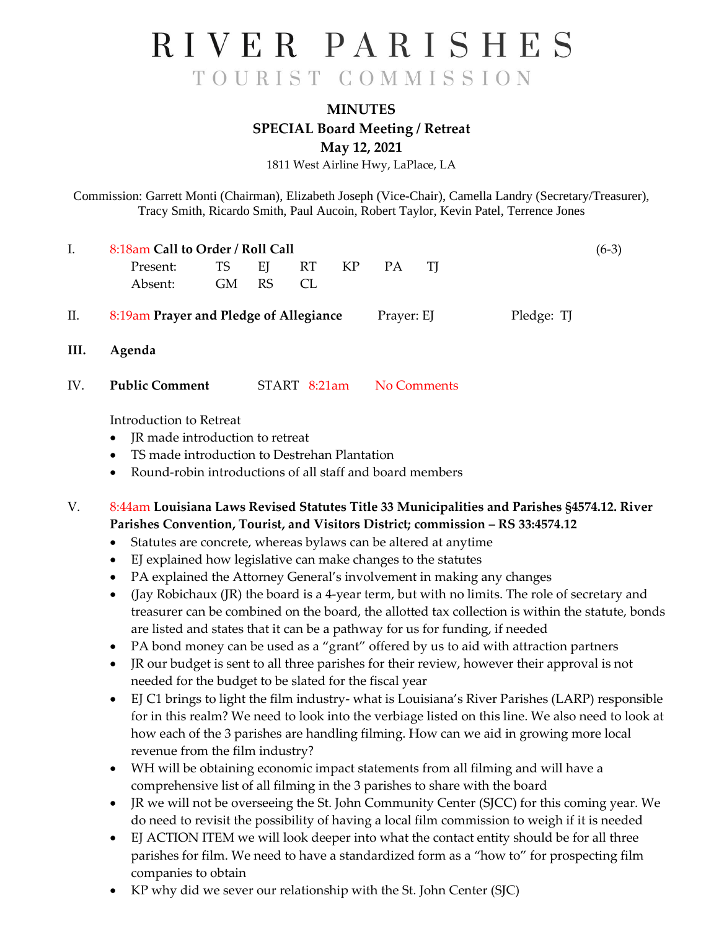**MINUTES SPECIAL Board Meeting / Retreat May 12, 2021**

1811 West Airline Hwy, LaPlace, LA

Commission: Garrett Monti (Chairman), Elizabeth Joseph (Vice-Chair), Camella Landry (Secretary/Treasurer), Tracy Smith, Ricardo Smith, Paul Aucoin, Robert Taylor, Kevin Patel, Terrence Jones

| I.   | 8:18am Call to Order / Roll Call                                      |           |           |              |    |             |    |                                                                                             |  |  |
|------|-----------------------------------------------------------------------|-----------|-----------|--------------|----|-------------|----|---------------------------------------------------------------------------------------------|--|--|
|      | Present:                                                              | <b>TS</b> | EJ        | RT.          | KP | PA          | TJ |                                                                                             |  |  |
|      | Absent:                                                               | <b>GM</b> | <b>RS</b> | CL           |    |             |    |                                                                                             |  |  |
| II.  | 8:19am Prayer and Pledge of Allegiance                                |           |           |              |    |             |    |                                                                                             |  |  |
| III. | Agenda                                                                |           |           |              |    |             |    |                                                                                             |  |  |
| IV.  | <b>Public Comment</b>                                                 |           |           | START 8:21am |    | No Comments |    |                                                                                             |  |  |
|      | Introduction to Retreat                                               |           |           |              |    |             |    |                                                                                             |  |  |
|      | JR made introduction to retreat<br>$\bullet$                          |           |           |              |    |             |    |                                                                                             |  |  |
|      | TS made introduction to Destrehan Plantation                          |           |           |              |    |             |    |                                                                                             |  |  |
|      | Round-robin introductions of all staff and board members<br>$\bullet$ |           |           |              |    |             |    |                                                                                             |  |  |
| V.   |                                                                       |           |           |              |    |             |    | 8:44am Louisiana Laws Revised Statutes Title 33 Municipalities and Parishes §4574.12. River |  |  |

**Parishes Convention, Tourist, and Visitors District; commission – RS 33:4574.12**

- Statutes are concrete, whereas bylaws can be altered at anytime
- EJ explained how legislative can make changes to the statutes
- PA explained the Attorney General's involvement in making any changes
- (Jay Robichaux (JR) the board is a 4-year term, but with no limits. The role of secretary and treasurer can be combined on the board, the allotted tax collection is within the statute, bonds are listed and states that it can be a pathway for us for funding, if needed
- PA bond money can be used as a "grant" offered by us to aid with attraction partners
- JR our budget is sent to all three parishes for their review, however their approval is not needed for the budget to be slated for the fiscal year
- EJ C1 brings to light the film industry- what is Louisiana's River Parishes (LARP) responsible for in this realm? We need to look into the verbiage listed on this line. We also need to look at how each of the 3 parishes are handling filming. How can we aid in growing more local revenue from the film industry?
- WH will be obtaining economic impact statements from all filming and will have a comprehensive list of all filming in the 3 parishes to share with the board
- JR we will not be overseeing the St. John Community Center (SJCC) for this coming year. We do need to revisit the possibility of having a local film commission to weigh if it is needed
- EJ ACTION ITEM we will look deeper into what the contact entity should be for all three parishes for film. We need to have a standardized form as a "how to" for prospecting film companies to obtain
- KP why did we sever our relationship with the St. John Center (SJC)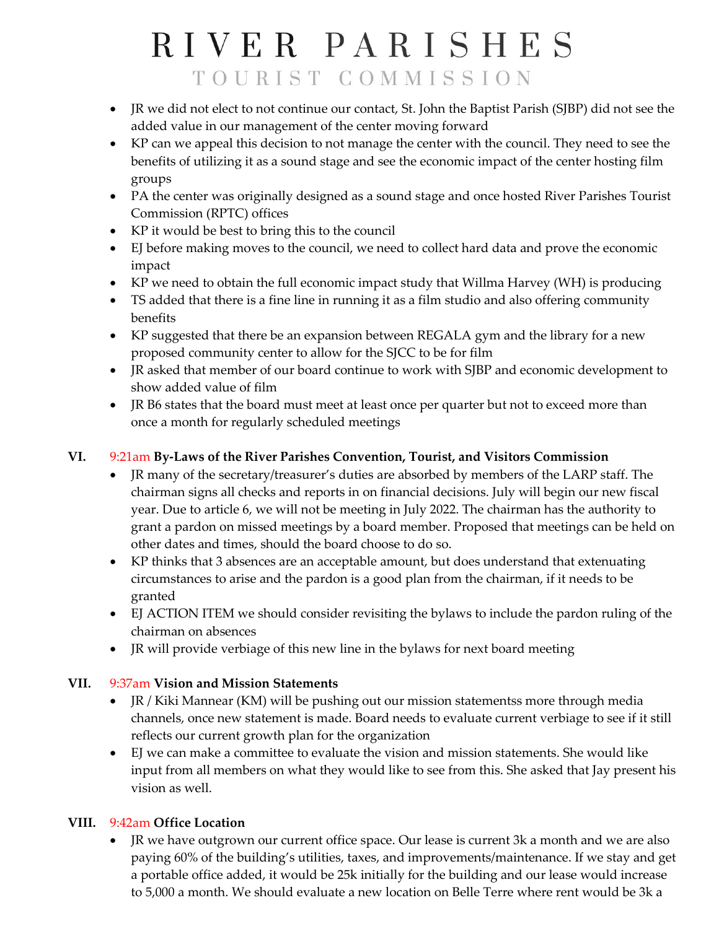- JR we did not elect to not continue our contact, St. John the Baptist Parish (SJBP) did not see the added value in our management of the center moving forward
- KP can we appeal this decision to not manage the center with the council. They need to see the benefits of utilizing it as a sound stage and see the economic impact of the center hosting film groups
- PA the center was originally designed as a sound stage and once hosted River Parishes Tourist Commission (RPTC) offices
- KP it would be best to bring this to the council
- EJ before making moves to the council, we need to collect hard data and prove the economic impact
- KP we need to obtain the full economic impact study that Willma Harvey (WH) is producing
- TS added that there is a fine line in running it as a film studio and also offering community benefits
- KP suggested that there be an expansion between REGALA gym and the library for a new proposed community center to allow for the SJCC to be for film
- JR asked that member of our board continue to work with SJBP and economic development to show added value of film
- JR B6 states that the board must meet at least once per quarter but not to exceed more than once a month for regularly scheduled meetings

### **VI.** 9:21am **By-Laws of the River Parishes Convention, Tourist, and Visitors Commission**

- JR many of the secretary/treasurer's duties are absorbed by members of the LARP staff. The chairman signs all checks and reports in on financial decisions. July will begin our new fiscal year. Due to article 6, we will not be meeting in July 2022. The chairman has the authority to grant a pardon on missed meetings by a board member. Proposed that meetings can be held on other dates and times, should the board choose to do so.
- KP thinks that 3 absences are an acceptable amount, but does understand that extenuating circumstances to arise and the pardon is a good plan from the chairman, if it needs to be granted
- EJ ACTION ITEM we should consider revisiting the bylaws to include the pardon ruling of the chairman on absences
- JR will provide verbiage of this new line in the bylaws for next board meeting

### **VII.** 9:37am **Vision and Mission Statements**

- JR / Kiki Mannear (KM) will be pushing out our mission statementss more through media channels, once new statement is made. Board needs to evaluate current verbiage to see if it still reflects our current growth plan for the organization
- EJ we can make a committee to evaluate the vision and mission statements. She would like input from all members on what they would like to see from this. She asked that Jay present his vision as well.

### **VIII.** 9:42am **Office Location**

• JR we have outgrown our current office space. Our lease is current 3k a month and we are also paying 60% of the building's utilities, taxes, and improvements/maintenance. If we stay and get a portable office added, it would be 25k initially for the building and our lease would increase to 5,000 a month. We should evaluate a new location on Belle Terre where rent would be 3k a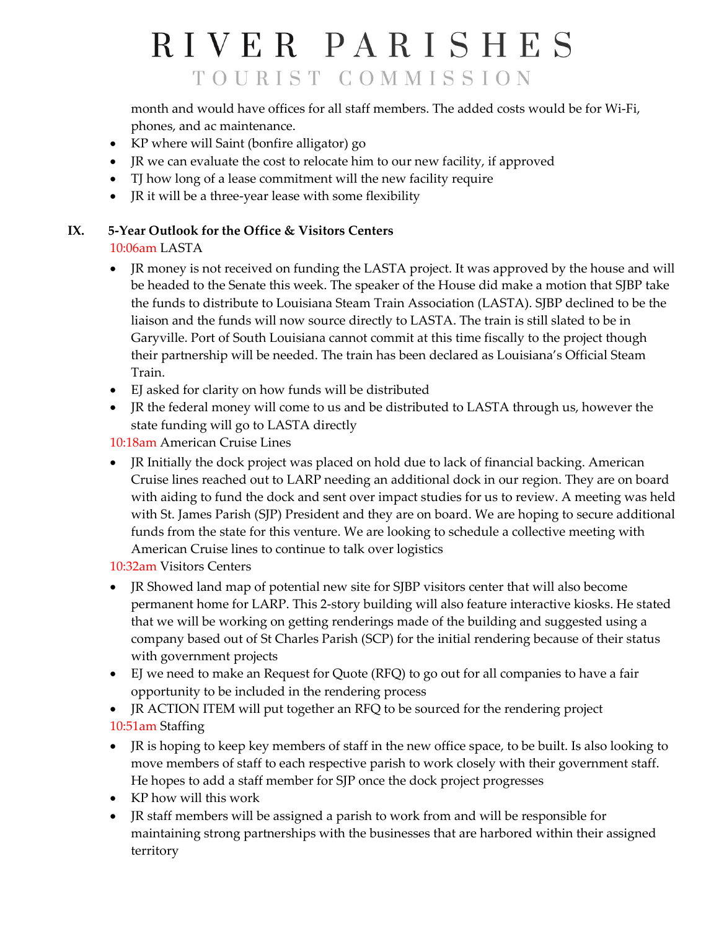month and would have offices for all staff members. The added costs would be for Wi-Fi, phones, and ac maintenance.

- KP where will Saint (bonfire alligator) go
- JR we can evaluate the cost to relocate him to our new facility, if approved
- TJ how long of a lease commitment will the new facility require
- JR it will be a three-year lease with some flexibility

## **IX. 5-Year Outlook for the Office & Visitors Centers**

### 10:06am LASTA

- JR money is not received on funding the LASTA project. It was approved by the house and will be headed to the Senate this week. The speaker of the House did make a motion that SJBP take the funds to distribute to Louisiana Steam Train Association (LASTA). SJBP declined to be the liaison and the funds will now source directly to LASTA. The train is still slated to be in Garyville. Port of South Louisiana cannot commit at this time fiscally to the project though their partnership will be needed. The train has been declared as Louisiana's Official Steam Train.
- EJ asked for clarity on how funds will be distributed
- JR the federal money will come to us and be distributed to LASTA through us, however the state funding will go to LASTA directly

10:18am American Cruise Lines

• JR Initially the dock project was placed on hold due to lack of financial backing. American Cruise lines reached out to LARP needing an additional dock in our region. They are on board with aiding to fund the dock and sent over impact studies for us to review. A meeting was held with St. James Parish (SJP) President and they are on board. We are hoping to secure additional funds from the state for this venture. We are looking to schedule a collective meeting with American Cruise lines to continue to talk over logistics

10:32am Visitors Centers

- JR Showed land map of potential new site for SJBP visitors center that will also become permanent home for LARP. This 2-story building will also feature interactive kiosks. He stated that we will be working on getting renderings made of the building and suggested using a company based out of St Charles Parish (SCP) for the initial rendering because of their status with government projects
- EJ we need to make an Request for Quote (RFQ) to go out for all companies to have a fair opportunity to be included in the rendering process
- JR ACTION ITEM will put together an RFQ to be sourced for the rendering project 10:51am Staffing
- JR is hoping to keep key members of staff in the new office space, to be built. Is also looking to move members of staff to each respective parish to work closely with their government staff. He hopes to add a staff member for SJP once the dock project progresses
- KP how will this work
- JR staff members will be assigned a parish to work from and will be responsible for maintaining strong partnerships with the businesses that are harbored within their assigned territory